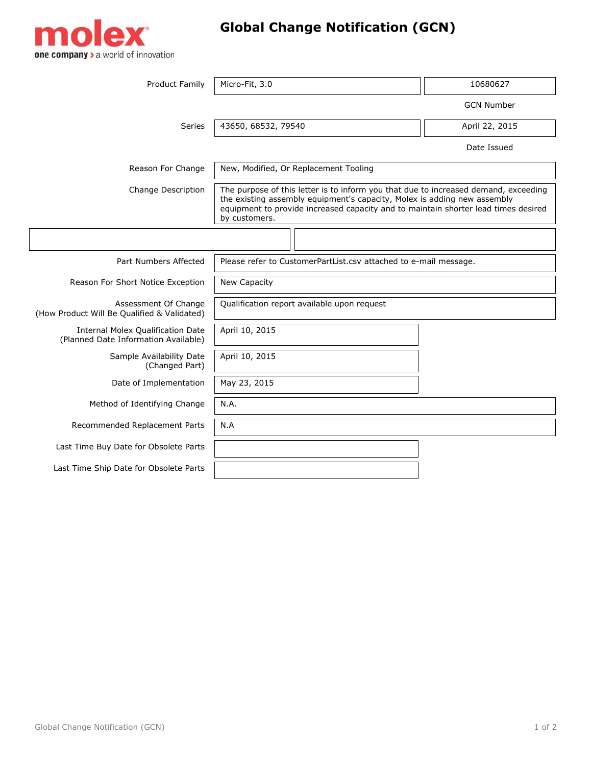

## **Global Change Notification (GCN)**

| <b>Product Family</b>                                                            | Micro-Fit, 3.0                                                                                                                                                                                                                                                         | 10680627          |  |
|----------------------------------------------------------------------------------|------------------------------------------------------------------------------------------------------------------------------------------------------------------------------------------------------------------------------------------------------------------------|-------------------|--|
|                                                                                  |                                                                                                                                                                                                                                                                        | <b>GCN Number</b> |  |
|                                                                                  |                                                                                                                                                                                                                                                                        |                   |  |
| Series                                                                           | 43650, 68532, 79540                                                                                                                                                                                                                                                    | April 22, 2015    |  |
|                                                                                  |                                                                                                                                                                                                                                                                        | Date Issued       |  |
| Reason For Change                                                                | New, Modified, Or Replacement Tooling                                                                                                                                                                                                                                  |                   |  |
| Change Description                                                               | The purpose of this letter is to inform you that due to increased demand, exceeding<br>the existing assembly equipment's capacity, Molex is adding new assembly<br>equipment to provide increased capacity and to maintain shorter lead times desired<br>by customers. |                   |  |
|                                                                                  |                                                                                                                                                                                                                                                                        |                   |  |
| Part Numbers Affected                                                            | Please refer to CustomerPartList.csv attached to e-mail message.                                                                                                                                                                                                       |                   |  |
| Reason For Short Notice Exception                                                | New Capacity                                                                                                                                                                                                                                                           |                   |  |
| Assessment Of Change<br>(How Product Will Be Qualified & Validated)              | Qualification report available upon request                                                                                                                                                                                                                            |                   |  |
| <b>Internal Molex Qualification Date</b><br>(Planned Date Information Available) | April 10, 2015                                                                                                                                                                                                                                                         |                   |  |
| Sample Availability Date<br>(Changed Part)                                       | April 10, 2015                                                                                                                                                                                                                                                         |                   |  |
| Date of Implementation                                                           | May 23, 2015                                                                                                                                                                                                                                                           |                   |  |
| Method of Identifying Change                                                     | N.A.                                                                                                                                                                                                                                                                   |                   |  |
| Recommended Replacement Parts                                                    | N.A                                                                                                                                                                                                                                                                    |                   |  |
| Last Time Buy Date for Obsolete Parts                                            |                                                                                                                                                                                                                                                                        |                   |  |
| Last Time Ship Date for Obsolete Parts                                           |                                                                                                                                                                                                                                                                        |                   |  |